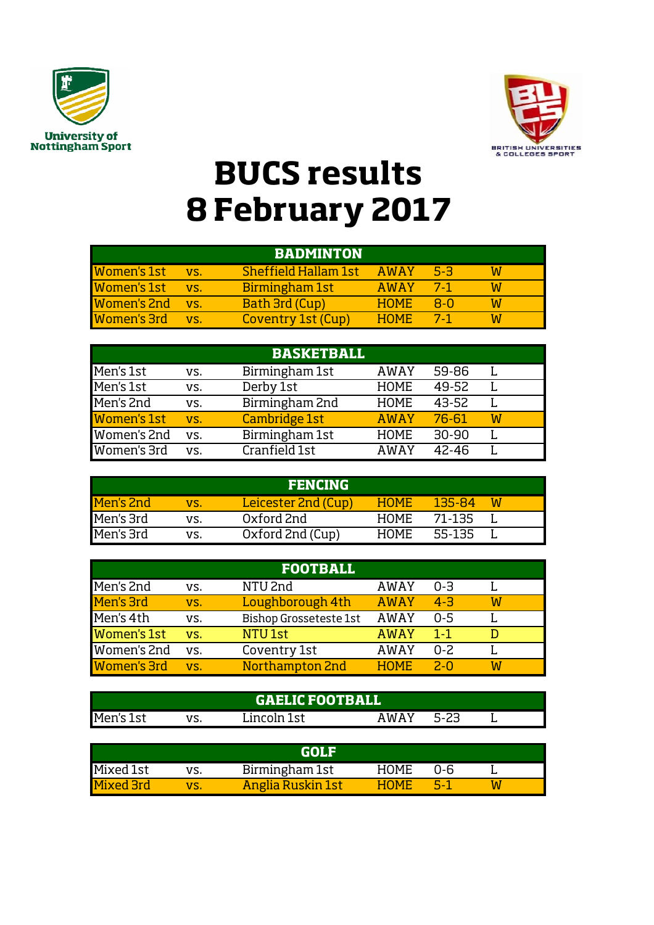



## **BUCS results 8 February 2017**

|                    |     | <b>BADMINTON</b>            |             |       |  |
|--------------------|-----|-----------------------------|-------------|-------|--|
| <b>Women's 1st</b> | VS. | <b>Sheffield Hallam 1st</b> | AWAY        | 5-3   |  |
| <b>Women's 1st</b> | VS. | Birmingham 1st              | <b>AWAY</b> | $7-1$ |  |
| <b>Women's 2nd</b> | VS. | Bath 3rd (Cup)              | <b>HOME</b> | 8-0   |  |
| <b>Women's 3rd</b> | VS. | Coventry 1st (Cup)          | <b>HOME</b> | $7-1$ |  |

|                    |     | <b>BASKETBALL</b> |             |           |   |  |
|--------------------|-----|-------------------|-------------|-----------|---|--|
| Men's 1st          | VS. | Birmingham 1st    | <b>AWAY</b> | 59-86     |   |  |
| Men's 1st          | VS. | Derby 1st         | <b>HOME</b> | 49-52     |   |  |
| Men's 2nd          | VS. | Birmingham 2nd    | <b>HOME</b> | 43-52     |   |  |
| <b>Women's 1st</b> | VS. | Cambridge 1st     | <b>AWAY</b> | 76-61     | W |  |
| Women's 2nd        | VS. | Birmingham 1st    | <b>HOME</b> | $30 - 90$ |   |  |
| Women's 3rd        | VS. | Cranfield 1st     | AWAY        | 42-46     |   |  |

|           |     | <b>FENCING</b>      |             |        |   |
|-----------|-----|---------------------|-------------|--------|---|
| Men's 2nd | VS. | Leicester 2nd (Cup) | <b>HOME</b> | 135-84 | W |
| Men's 3rd | VS. | Oxford 2nd          | <b>HOME</b> | 71-135 |   |
| Men's 3rd | vs. | Oxford 2nd (Cup)    | <b>HOME</b> | 55-135 |   |

|                    |     | <b>FOOTBALL</b>        |             |         |   |
|--------------------|-----|------------------------|-------------|---------|---|
| Men's 2nd          | VS. | NTU <sub>2nd</sub>     | AWAY        | $0 - 3$ |   |
| Men's 3rd          | VS. | Loughborough 4th       | <b>AWAY</b> | $4 - 3$ | W |
| Men's 4th          | VS. | Bishop Grosseteste 1st | <b>AWAY</b> | $0 - 5$ |   |
| <b>Women's 1st</b> | VS. | NTU <sub>1st</sub>     | <b>AWAY</b> | $1 - 1$ |   |
| Women's 2nd        | VS. | Coventry 1st           | AWAY        | $0 - 2$ |   |
| Women's 3rd        | VS. | Northampton 2nd        | <b>HOME</b> | $2 - 0$ | W |

|           |     | <b>GAELIC FOOTBALL</b> |      |  |  |
|-----------|-----|------------------------|------|--|--|
| Men's 1st | 17C | Lincoln 1st            | AMAY |  |  |

|                  |     | GOLE                     |             |     |  |
|------------------|-----|--------------------------|-------------|-----|--|
| Mixed 1st        | VS. | Birmingham 1st           | <b>HOME</b> | በ-6 |  |
| <b>Mixed 3rd</b> | VS. | <b>Anglia Ruskin 1st</b> | HOME.       | 5-1 |  |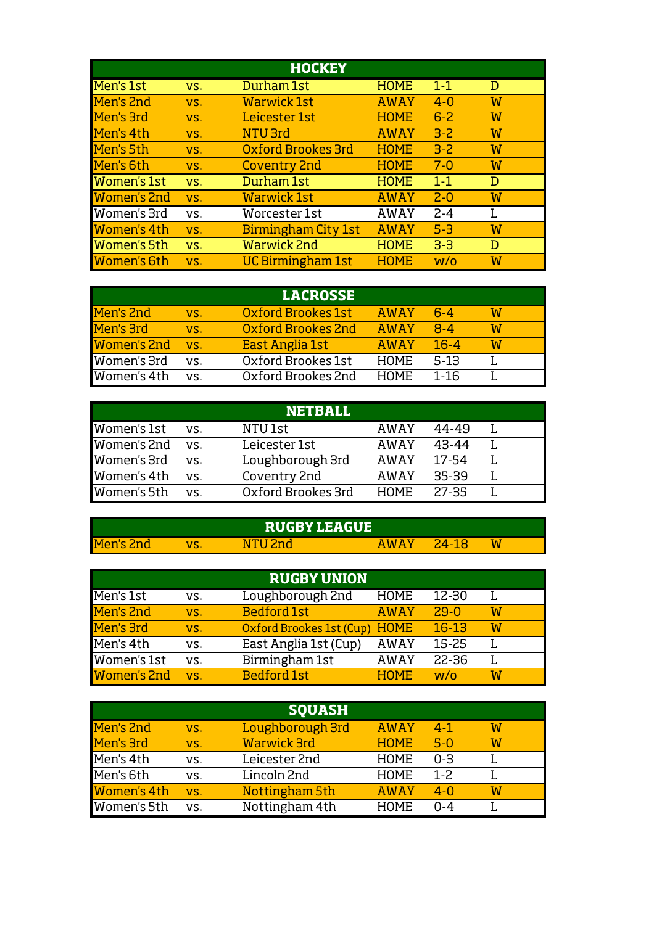|                    |     | <b>HOCKEY</b>             |             |         |   |
|--------------------|-----|---------------------------|-------------|---------|---|
| Men's 1st          | VS. | Durham 1st                | <b>HOME</b> | $1 - 1$ | D |
| Men's 2nd          | VS. | <b>Warwick 1st</b>        | <b>AWAY</b> | $4 - 0$ | W |
| Men's 3rd          | VS. | Leicester 1st             | <b>HOME</b> | $6 - 2$ | W |
| Men's 4th          | VS. | NTU 3rd                   | <b>AWAY</b> | $3 - 2$ | W |
| Men's 5th          | VS. | <b>Oxford Brookes 3rd</b> | <b>HOME</b> | $3 - 2$ | W |
| Men's 6th          | VS. | <b>Coventry 2nd</b>       | <b>HOME</b> | $7 - 0$ | W |
| <b>Women's 1st</b> | VS. | Durham 1st                | <b>HOME</b> | $1 - 1$ | D |
| <b>Women's 2nd</b> | VS. | <b>Warwick 1st</b>        | <b>AWAY</b> | $2 - 0$ | W |
| Women's 3rd        | VS. | Worcester 1st             | <b>AWAY</b> | $2 - 4$ | L |
| <b>Women's 4th</b> | VS. | Birmingham City 1st       | <b>AWAY</b> | $5-3$   | W |
| <b>Women's 5th</b> | VS. | <b>Warwick 2nd</b>        | <b>HOME</b> | $3-3$   | D |
| <b>Women's 6th</b> | VS. | UC Birmingham 1st         | <b>HOME</b> | W/O     | W |

|                    |     | <b>LACROSSE</b>    |             |          |   |  |
|--------------------|-----|--------------------|-------------|----------|---|--|
| Men's 2nd          | VS. | Oxford Brookes 1st | <b>AWAY</b> | $6-4$    | W |  |
| Men's 3rd          | VS. | Oxford Brookes 2nd | <b>AWAY</b> | $R - 4$  | W |  |
| <b>Women's 2nd</b> | VS. | East Anglia 1st    | <b>AWAY</b> | $16 - 4$ | W |  |
| Women's 3rd        | VS. | Oxford Brookes 1st | <b>HOME</b> | $5-13$   |   |  |
| Women's 4th        | VS. | Oxford Brookes 2nd | <b>HOME</b> | 1-16     |   |  |

|             |     | <b>NETBALL</b>     |             |         |  |
|-------------|-----|--------------------|-------------|---------|--|
| Women's 1st | VS. | NTU <sub>1st</sub> | AWAY        | 44-49   |  |
| Women's 2nd | VS. | Leicester 1st      | AWAY        | 43-44   |  |
| Women's 3rd | VS. | Loughborough 3rd   | AWAY        | 17-54   |  |
| Women's 4th | VS. | Coventry 2nd       | AWAY        | $35-39$ |  |
| Women's 5th | VS. | Oxford Brookes 3rd | <b>HOME</b> | $27-35$ |  |

|           | <b>RUGBY LEAGUE</b> |             |      |   |  |
|-----------|---------------------|-------------|------|---|--|
| Men's 2nd | <b>Rand</b><br>N.   | <b>AWAY</b> | 94-. | W |  |

|                    |     | <b>RUGBY UNION</b>            |             |           |   |  |
|--------------------|-----|-------------------------------|-------------|-----------|---|--|
| Men's 1st          | VS. | Loughborough 2nd              | <b>HOME</b> | 12-30     |   |  |
| Men's 2nd          | VS. | <b>Bedford 1st</b>            | <b>AWAY</b> | $29-0$    | W |  |
| Men's 3rd          | VS. | Oxford Brookes 1st (Cup) HOME |             | $16-13$   | W |  |
| Men's 4th          | VS. | East Anglia 1st (Cup)         | <b>AWAY</b> | $15 - 25$ |   |  |
| Women's 1st        | VS. | Birmingham 1st                | <b>AWAY</b> | 22-36     |   |  |
| <b>Women's 2nd</b> | VS. | <b>Bedford 1st</b>            | <b>HOME</b> | W/O       | W |  |

|                    |     | <b>SOUASH</b>      |             |          |   |
|--------------------|-----|--------------------|-------------|----------|---|
| Men's 2nd          | VS. | Loughborough 3rd   | <b>AWAY</b> | $4 - 1$  | W |
| Men's 3rd          | VS. | <b>Warwick 3rd</b> | <b>HOME</b> | $5-0$    | W |
| Men's 4th          | VS. | Leicester 2nd      | <b>HOME</b> | $0 - 3$  |   |
| Men's 6th          | VS. | Lincoln 2nd        | <b>HOME</b> | $1 - 2.$ |   |
| <b>Women's 4th</b> | VS. | Nottingham 5th     | <b>AWAY</b> | $4 - 0$  | W |
| Women's 5th        | VS. | Nottingham 4th     | <b>HOME</b> | በ-4      |   |